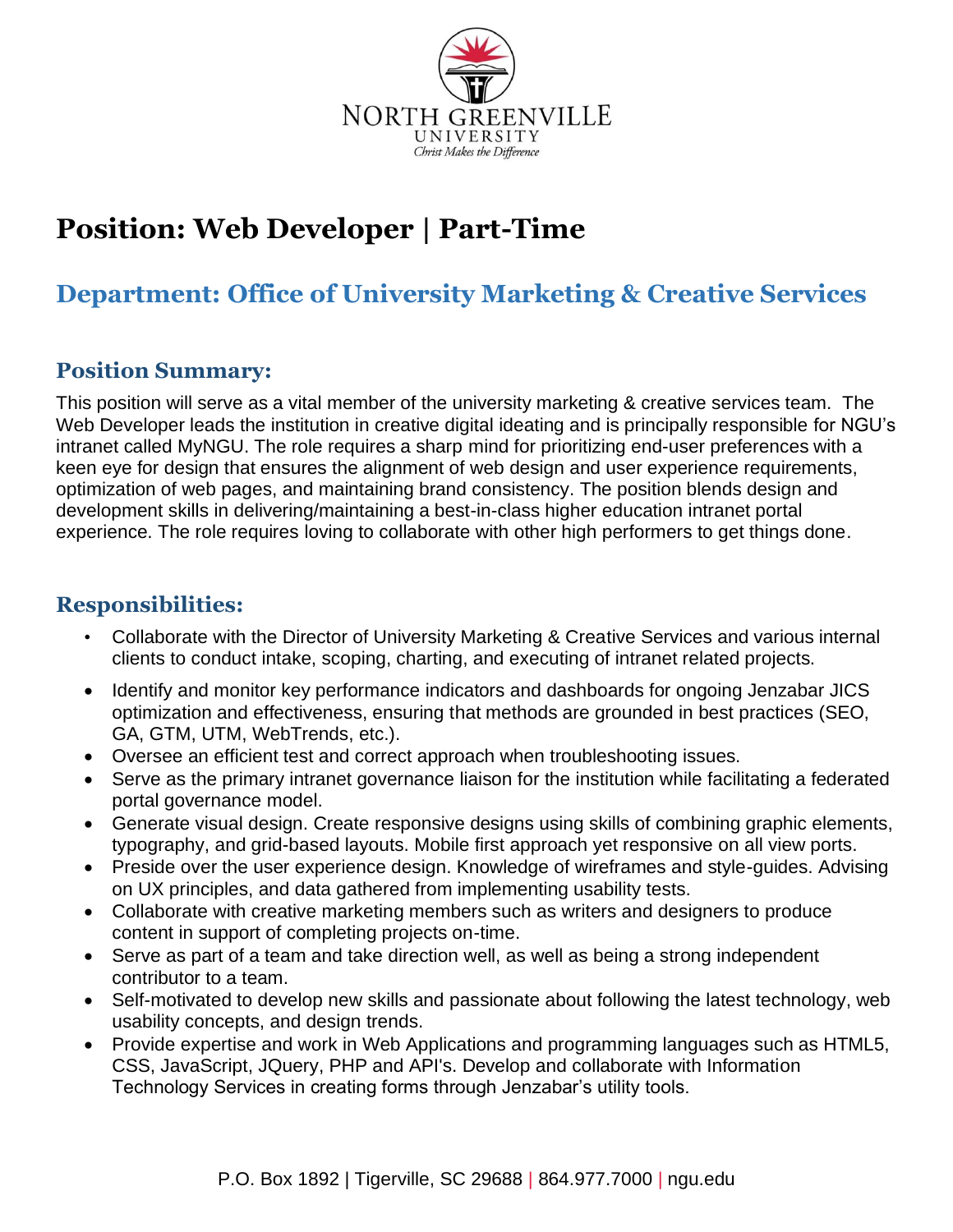

# **Position: Web Developer | Part-Time**

# **Department: Office of University Marketing & Creative Services**

#### **Position Summary:**

This position will serve as a vital member of the university marketing & creative services team. The Web Developer leads the institution in creative digital ideating and is principally responsible for NGU's intranet called MyNGU. The role requires a sharp mind for prioritizing end-user preferences with a keen eye for design that ensures the alignment of web design and user experience requirements, optimization of web pages, and maintaining brand consistency. The position blends design and development skills in delivering/maintaining a best-in-class higher education intranet portal experience. The role requires loving to collaborate with other high performers to get things done.

#### **Responsibilities:**

- Collaborate with the Director of University Marketing & Creative Services and various internal clients to conduct intake, scoping, charting, and executing of intranet related projects.
- Identify and monitor key performance indicators and dashboards for ongoing Jenzabar JICS optimization and effectiveness, ensuring that methods are grounded in best practices (SEO, GA, GTM, UTM, WebTrends, etc.).
- Oversee an efficient test and correct approach when troubleshooting issues.
- Serve as the primary intranet governance liaison for the institution while facilitating a federated portal governance model.
- Generate visual design. Create responsive designs using skills of combining graphic elements, typography, and grid-based layouts. Mobile first approach yet responsive on all view ports.
- Preside over the user experience design. Knowledge of wireframes and style-guides. Advising on UX principles, and data gathered from implementing usability tests.
- Collaborate with creative marketing members such as writers and designers to produce content in support of completing projects on-time.
- Serve as part of a team and take direction well, as well as being a strong independent contributor to a team.
- Self-motivated to develop new skills and passionate about following the latest technology, web usability concepts, and design trends.
- Provide expertise and work in Web Applications and programming languages such as HTML5, CSS, JavaScript, JQuery, PHP and API's. Develop and collaborate with Information Technology Services in creating forms through Jenzabar's utility tools.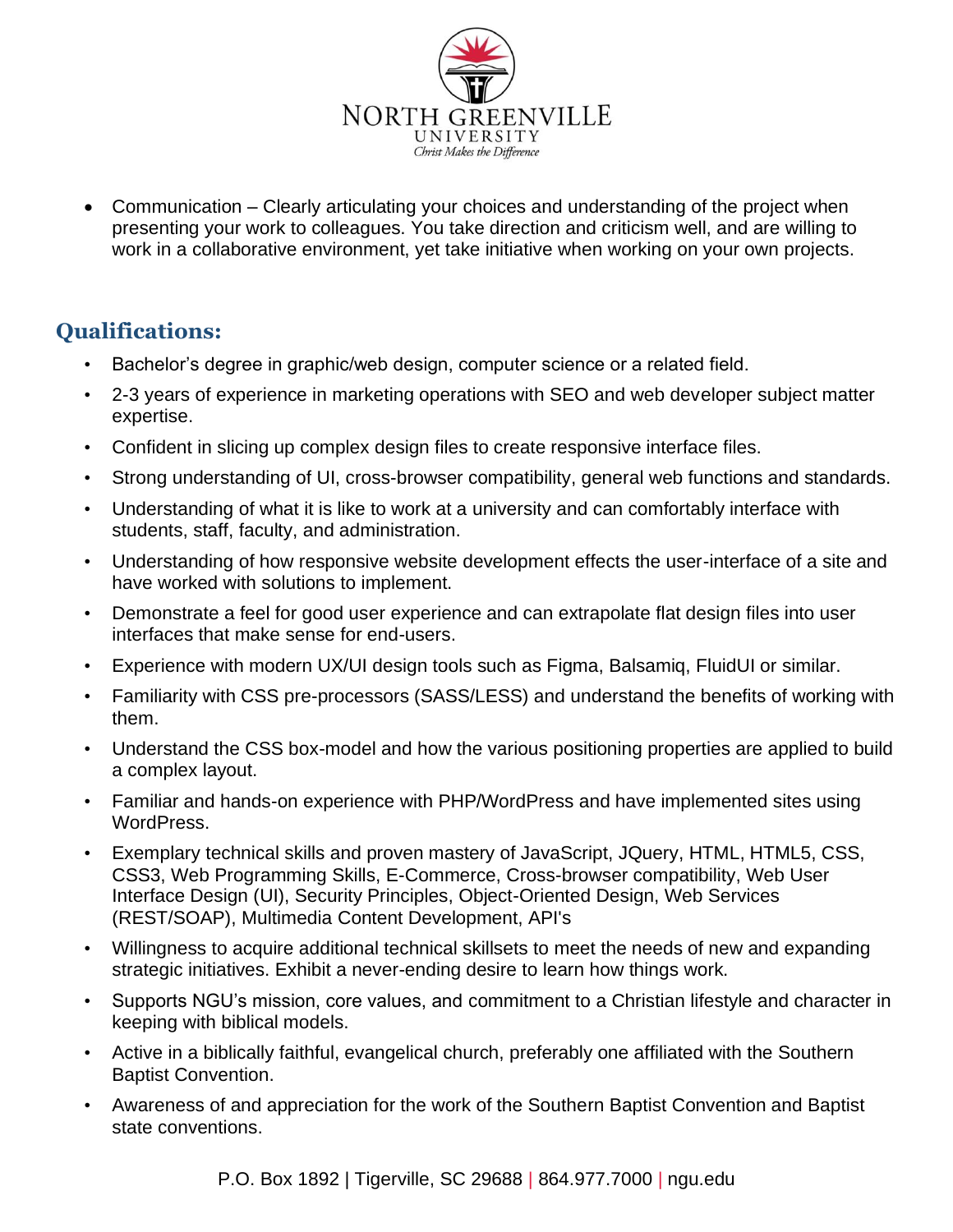

• Communication – Clearly articulating your choices and understanding of the project when presenting your work to colleagues. You take direction and criticism well, and are willing to work in a collaborative environment, yet take initiative when working on your own projects.

# **Qualifications:**

- Bachelor's degree in graphic/web design, computer science or a related field.
- 2-3 years of experience in marketing operations with SEO and web developer subject matter expertise.
- Confident in slicing up complex design files to create responsive interface files.
- Strong understanding of UI, cross-browser compatibility, general web functions and standards.
- Understanding of what it is like to work at a university and can comfortably interface with students, staff, faculty, and administration.
- Understanding of how responsive website development effects the user-interface of a site and have worked with solutions to implement.
- Demonstrate a feel for good user experience and can extrapolate flat design files into user interfaces that make sense for end-users.
- Experience with modern UX/UI design tools such as Figma, Balsamiq, FluidUI or similar.
- Familiarity with CSS pre-processors (SASS/LESS) and understand the benefits of working with them.
- Understand the CSS box-model and how the various positioning properties are applied to build a complex layout.
- Familiar and hands-on experience with PHP/WordPress and have implemented sites using WordPress.
- Exemplary technical skills and proven mastery of JavaScript, JQuery, HTML, HTML5, CSS, CSS3, Web Programming Skills, E-Commerce, Cross-browser compatibility, Web User Interface Design (UI), Security Principles, Object-Oriented Design, Web Services (REST/SOAP), Multimedia Content Development, API's
- Willingness to acquire additional technical skillsets to meet the needs of new and expanding strategic initiatives. Exhibit a never-ending desire to learn how things work.
- Supports NGU's mission, core values, and commitment to a Christian lifestyle and character in keeping with biblical models.
- Active in a biblically faithful, evangelical church, preferably one affiliated with the Southern Baptist Convention.
- Awareness of and appreciation for the work of the Southern Baptist Convention and Baptist state conventions.